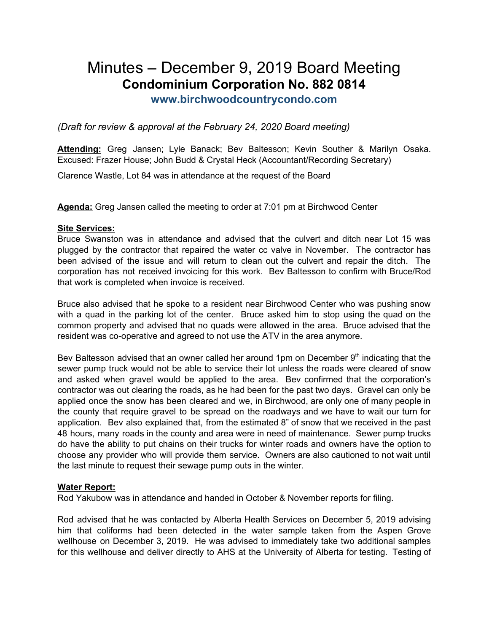# Minutes – December 9, 2019 Board Meeting **Condominium Corporation No. 882 0814**

**[www.birchwoodcountrycondo.com](http://www.birchwoodcountrycondo.com/)**

*(Draft for review & approval at the February 24, 2020 Board meeting)*

**Attending:** Greg Jansen; Lyle Banack; Bev Baltesson; Kevin Souther & Marilyn Osaka. Excused: Frazer House; John Budd & Crystal Heck (Accountant/Recording Secretary)

Clarence Wastle, Lot 84 was in attendance at the request of the Board

**Agenda:** Greg Jansen called the meeting to order at 7:01 pm at Birchwood Center

# **Site Services:**

Bruce Swanston was in attendance and advised that the culvert and ditch near Lot 15 was plugged by the contractor that repaired the water cc valve in November. The contractor has been advised of the issue and will return to clean out the culvert and repair the ditch. The corporation has not received invoicing for this work. Bev Baltesson to confirm with Bruce/Rod that work is completed when invoice is received.

Bruce also advised that he spoke to a resident near Birchwood Center who was pushing snow with a quad in the parking lot of the center. Bruce asked him to stop using the quad on the common property and advised that no quads were allowed in the area. Bruce advised that the resident was co-operative and agreed to not use the ATV in the area anymore.

Bev Baltesson advised that an owner called her around 1pm on December  $9<sup>th</sup>$  indicating that the sewer pump truck would not be able to service their lot unless the roads were cleared of snow and asked when gravel would be applied to the area. Bev confirmed that the corporation's contractor was out clearing the roads, as he had been for the past two days. Gravel can only be applied once the snow has been cleared and we, in Birchwood, are only one of many people in the county that require gravel to be spread on the roadways and we have to wait our turn for application. Bev also explained that, from the estimated 8" of snow that we received in the past 48 hours, many roads in the county and area were in need of maintenance. Sewer pump trucks do have the ability to put chains on their trucks for winter roads and owners have the option to choose any provider who will provide them service. Owners are also cautioned to not wait until the last minute to request their sewage pump outs in the winter.

# **Water Report:**

Rod Yakubow was in attendance and handed in October & November reports for filing.

Rod advised that he was contacted by Alberta Health Services on December 5, 2019 advising him that coliforms had been detected in the water sample taken from the Aspen Grove wellhouse on December 3, 2019. He was advised to immediately take two additional samples for this wellhouse and deliver directly to AHS at the University of Alberta for testing. Testing of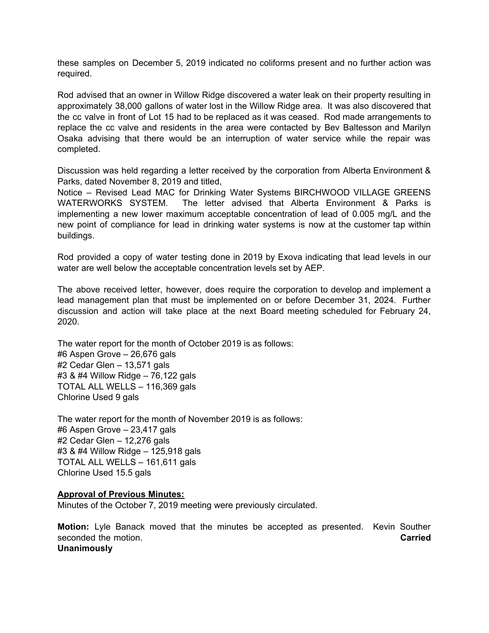these samples on December 5, 2019 indicated no coliforms present and no further action was required.

Rod advised that an owner in Willow Ridge discovered a water leak on their property resulting in approximately 38,000 gallons of water lost in the Willow Ridge area. It was also discovered that the cc valve in front of Lot 15 had to be replaced as it was ceased. Rod made arrangements to replace the cc valve and residents in the area were contacted by Bev Baltesson and Marilyn Osaka advising that there would be an interruption of water service while the repair was completed.

Discussion was held regarding a letter received by the corporation from Alberta Environment & Parks, dated November 8, 2019 and titled,

Notice – Revised Lead MAC for Drinking Water Systems BIRCHWOOD VILLAGE GREENS WATERWORKS SYSTEM. The letter advised that Alberta Environment & Parks is implementing a new lower maximum acceptable concentration of lead of 0.005 mg/L and the new point of compliance for lead in drinking water systems is now at the customer tap within buildings.

Rod provided a copy of water testing done in 2019 by Exova indicating that lead levels in our water are well below the acceptable concentration levels set by AEP.

The above received letter, however, does require the corporation to develop and implement a lead management plan that must be implemented on or before December 31, 2024. Further discussion and action will take place at the next Board meeting scheduled for February 24, 2020.

The water report for the month of October 2019 is as follows: #6 Aspen Grove – 26,676 gals #2 Cedar Glen – 13,571 gals #3 & #4 Willow Ridge – 76,122 gals TOTAL ALL WELLS – 116,369 gals Chlorine Used 9 gals

The water report for the month of November 2019 is as follows: #6 Aspen Grove – 23,417 gals #2 Cedar Glen – 12,276 gals #3 & #4 Willow Ridge – 125,918 gals TOTAL ALL WELLS – 161,611 gals Chlorine Used 15.5 gals

#### **Approval of Previous Minutes:**

Minutes of the October 7, 2019 meeting were previously circulated.

**Motion:** Lyle Banack moved that the minutes be accepted as presented. Kevin Souther seconded the motion. **Carried Unanimously**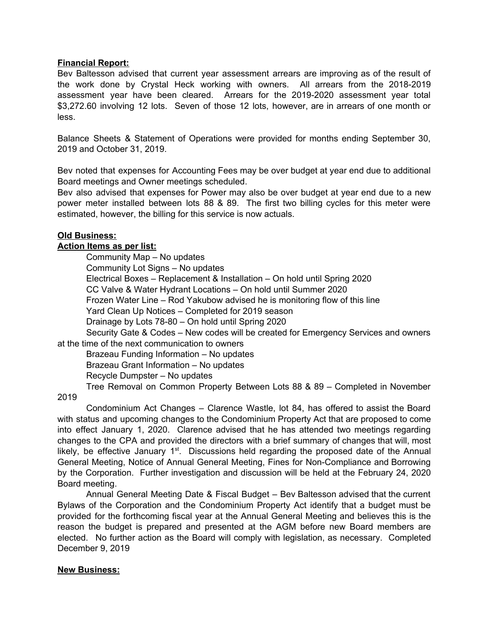#### **Financial Report:**

Bev Baltesson advised that current year assessment arrears are improving as of the result of the work done by Crystal Heck working with owners. All arrears from the 2018-2019 assessment year have been cleared. Arrears for the 2019-2020 assessment year total \$3,272.60 involving 12 lots. Seven of those 12 lots, however, are in arrears of one month or less.

Balance Sheets & Statement of Operations were provided for months ending September 30, 2019 and October 31, 2019.

Bev noted that expenses for Accounting Fees may be over budget at year end due to additional Board meetings and Owner meetings scheduled.

Bev also advised that expenses for Power may also be over budget at year end due to a new power meter installed between lots 88 & 89. The first two billing cycles for this meter were estimated, however, the billing for this service is now actuals.

#### **Old Business:**

#### **Action Items as per list:**

Community Map – No updates Community Lot Signs – No updates Electrical Boxes – Replacement & Installation – On hold until Spring 2020 CC Valve & Water Hydrant Locations – On hold until Summer 2020 Frozen Water Line – Rod Yakubow advised he is monitoring flow of this line Yard Clean Up Notices – Completed for 2019 season Drainage by Lots 78-80 – On hold until Spring 2020 Security Gate & Codes – New codes will be created for Emergency Services and owners

at the time of the next communication to owners

Brazeau Funding Information – No updates

Brazeau Grant Information – No updates

Recycle Dumpster – No updates

Tree Removal on Common Property Between Lots 88 & 89 – Completed in November

2019

Condominium Act Changes – Clarence Wastle, lot 84, has offered to assist the Board with status and upcoming changes to the Condominium Property Act that are proposed to come into effect January 1, 2020. Clarence advised that he has attended two meetings regarding changes to the CPA and provided the directors with a brief summary of changes that will, most likely, be effective January  $1<sup>st</sup>$ . Discussions held regarding the proposed date of the Annual General Meeting, Notice of Annual General Meeting, Fines for Non-Compliance and Borrowing by the Corporation. Further investigation and discussion will be held at the February 24, 2020 Board meeting.

Annual General Meeting Date & Fiscal Budget – Bev Baltesson advised that the current Bylaws of the Corporation and the Condominium Property Act identify that a budget must be provided for the forthcoming fiscal year at the Annual General Meeting and believes this is the reason the budget is prepared and presented at the AGM before new Board members are elected. No further action as the Board will comply with legislation, as necessary. Completed December 9, 2019

# **New Business:**